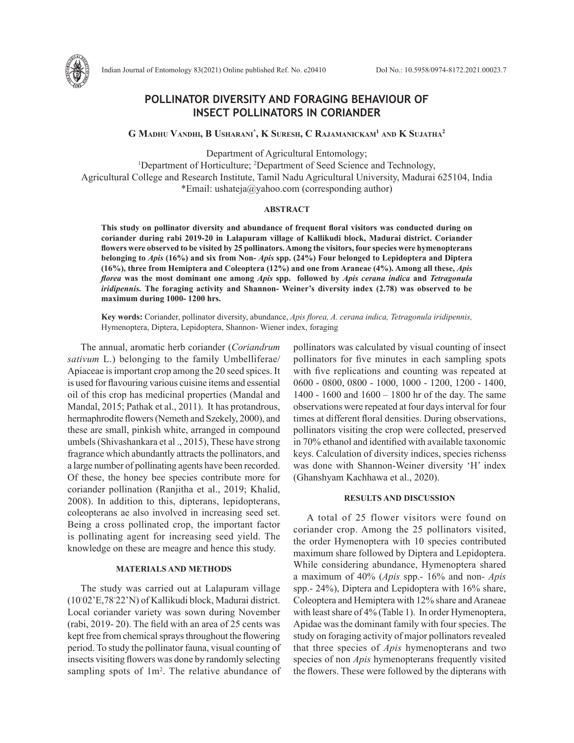

# **POLLINATOR DIVERSITY AND FORAGING BEHAVIOUR OF INSECT POLLINATORS IN CORIANDER**

**G Madhu Vandhi, B Usharani\* , K Suresh, C Rajamanickam1 and K Sujatha2**

Department of Agricultural Entomology;

<sup>1</sup>Department of Horticulture; <sup>2</sup>Department of Seed Science and Technology, Agricultural College and Research Institute, Tamil Nadu Agricultural University, Madurai 625104, India \*Email: ushateja@yahoo.com (corresponding author)

### **ABSTRACT**

**This study on pollinator diversity and abundance of frequent floral visitors was conducted during on coriander during rabi 2019-20 in Lalapuram village of Kallikudi block, Madurai district. Coriander flowers were observed to be visited by 25 pollinators. Among the visitors, four species were hymenopterans belonging to** *Apis* **(16%) and six from Non-** *Apis* **spp. (24%) Four belonged to Lepidoptera and Diptera (16%), three from Hemiptera and Coleoptera (12%) and one from Araneae (4%). Among all these,** *Apis florea* **was the most dominant one among** *Apis* **spp. followed by** *Apis cerana indica* **and** *Tetragonula iridipennis.* **The foraging activity and Shannon- Weiner's diversity index (2.78) was observed to be maximum during 1000- 1200 hrs.** 

**Key words:** Coriander, pollinator diversity, abundance, *Apis florea, A. cerana indica, Tetragonula iridipennis,*  Hymenoptera, Diptera, Lepidoptera, Shannon- Wiener index, foraging

The annual, aromatic herb coriander (*Coriandrum sativum* L.) belonging to the family Umbelliferae/ Apiaceae is important crop among the 20 seed spices. It is used for flavouring various cuisine items and essential oil of this crop has medicinal properties (Mandal and Mandal, 2015; Pathak et al., 2011). It has protandrous, hermaphrodite flowers (Nemeth and Szekely, 2000), and these are small, pinkish white, arranged in compound umbels (Shivashankara et al ., 2015), These have strong fragrance which abundantly attracts the pollinators, and a large number of pollinating agents have been recorded. Of these, the honey bee species contribute more for coriander pollination (Ranjitha et al., 2019; Khalid, 2008). In addition to this, dipterans, lepidopterans, coleopterans ae also involved in increasing seed set. Being a cross pollinated crop, the important factor is pollinating agent for increasing seed yield. The knowledge on these are meagre and hence this study.

### **MATERIALS AND METHODS**

The study was carried out at Lalapuram village (10◦ 02'E,78◦ 22'N) of Kallikudi block, Madurai district. Local coriander variety was sown during November (rabi, 2019- 20). The field with an area of 25 cents was kept free from chemical sprays throughout the flowering period. To study the pollinator fauna, visual counting of insects visiting flowers was done by randomly selecting sampling spots of  $1m^2$ . The relative abundance of pollinators was calculated by visual counting of insect pollinators for five minutes in each sampling spots with five replications and counting was repeated at 0600 - 0800, 0800 - 1000, 1000 - 1200, 1200 - 1400, 1400 - 1600 and 1600 – 1800 hr of the day. The same observations were repeated at four days interval for four times at different floral densities. During observations, pollinators visiting the crop were collected, preserved in 70% ethanol and identified with available taxonomic keys. Calculation of diversity indices, species richenss was done with Shannon-Weiner diversity 'H' index (Ghanshyam Kachhawa et al., 2020).

## **RESULTS AND DISCUSSION**

A total of 25 flower visitors were found on coriander crop. Among the 25 pollinators visited, the order Hymenoptera with 10 species contributed maximum share followed by Diptera and Lepidoptera. While considering abundance, Hymenoptera shared a maximum of 40% (*Apis* spp.- 16% and non- *Apis*  spp.- 24%), Diptera and Lepidoptera with 16% share, Coleoptera and Hemiptera with 12% share and Araneae with least share of 4% (Table 1). In order Hymenoptera, Apidae was the dominant family with four species. The study on foraging activity of major pollinators revealed that three species of *Apis* hymenopterans and two species of non *Apis* hymenopterans frequently visited the flowers. These were followed by the dipterans with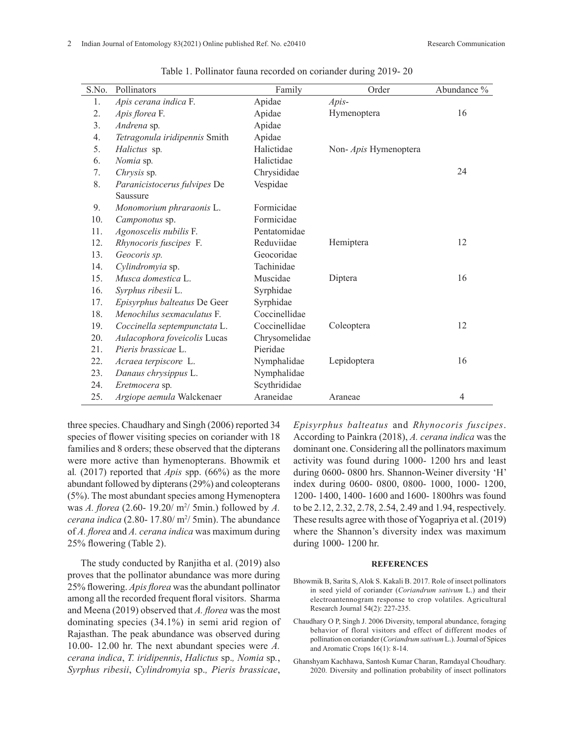| S.No. | Pollinators                   | Family        | Order                 | Abundance %    |
|-------|-------------------------------|---------------|-----------------------|----------------|
| 1.    | Apis cerana indica F.         | Apidae        | Apis-                 |                |
| 2.    | Apis florea F.                | Apidae        | Hymenoptera           | 16             |
| 3.    | Andrena sp.                   | Apidae        |                       |                |
| 4.    | Tetragonula iridipennis Smith | Apidae        |                       |                |
| 5.    | Halictus sp.                  | Halictidae    | Non- Apis Hymenoptera |                |
| 6.    | Nomia sp.                     | Halictidae    |                       |                |
| 7.    | Chrysis sp.                   | Chrysididae   |                       | 24             |
| 8.    | Paranicistocerus fulvipes De  | Vespidae      |                       |                |
|       | Saussure                      |               |                       |                |
| 9.    | Monomorium phraraonis L.      | Formicidae    |                       |                |
| 10.   | Camponotus sp.                | Formicidae    |                       |                |
| 11.   | Agonoscelis nubilis F.        | Pentatomidae  |                       |                |
| 12.   | Rhynocoris fuscipes F.        | Reduviidae    | Hemiptera             | 12             |
| 13.   | Geocoris sp.                  | Geocoridae    |                       |                |
| 14.   | Cylindromyia sp.              | Tachinidae    |                       |                |
| 15.   | Musca domestica L.            | Muscidae      | Diptera               | 16             |
| 16.   | Syrphus ribesii L.            | Syrphidae     |                       |                |
| 17.   | Episyrphus balteatus De Geer  | Syrphidae     |                       |                |
| 18.   | Menochilus sexmaculatus F.    | Coccinellidae |                       |                |
| 19.   | Coccinella septempunctata L.  | Coccinellidae | Coleoptera            | 12             |
| 20.   | Aulacophora foveicolis Lucas  | Chrysomelidae |                       |                |
| 21.   | Pieris brassicae L.           | Pieridae      |                       |                |
| 22.   | Acraea terpiscore L.          | Nymphalidae   | Lepidoptera           | 16             |
| 23.   | Danaus chrysippus L.          | Nymphalidae   |                       |                |
| 24.   | Eretmocera sp.                | Scythrididae  |                       |                |
| 25.   | Argiope aemula Walckenaer     | Araneidae     | Araneae               | $\overline{4}$ |

Table 1. Pollinator fauna recorded on coriander during 2019- 20

three species. Chaudhary and Singh (2006) reported 34 species of flower visiting species on coriander with 18 families and 8 orders; these observed that the dipterans were more active than hymenopterans. Bhowmik et al*.* (2017) reported that *Apis* spp. (66%) as the more abundant followed by dipterans (29%) and coleopterans (5%). The most abundant species among Hymenoptera was *A. florea* (2.60- 19.20/ m2 / 5min.) followed by *A. cerana indica* (2.80-17.80/ $m^2/5min$ ). The abundance of *A. florea* and *A. cerana indica* was maximum during 25% flowering (Table 2).

The study conducted by Ranjitha et al. (2019) also proves that the pollinator abundance was more during 25% flowering. *Apis florea* was the abundant pollinator among all the recorded frequent floral visitors. Sharma and Meena (2019) observed that *A. florea* was the most dominating species (34.1%) in semi arid region of Rajasthan. The peak abundance was observed during 10.00- 12.00 hr. The next abundant species were *A. cerana indica*, *T. iridipennis*, *Halictus* sp.*, Nomia* sp*.*, *Syrphus ribesii*, *Cylindromyia* sp.*, Pieris brassicae*,

*Episyrphus balteatus* and *Rhynocoris fuscipes*. According to Painkra (2018), *A. cerana indica* was the dominant one. Considering all the pollinators maximum activity was found during 1000- 1200 hrs and least during 0600- 0800 hrs. Shannon-Weiner diversity 'H' index during 0600- 0800, 0800- 1000, 1000- 1200, 1200- 1400, 1400- 1600 and 1600- 1800hrs was found to be 2.12, 2.32, 2.78, 2.54, 2.49 and 1.94, respectively. These results agree with those of Yogapriya et al. (2019) where the Shannon's diversity index was maximum during 1000- 1200 hr.

#### **REFERENCES**

- Bhowmik B, Sarita S, Alok S. Kakali B. 2017. Role of insect pollinators in seed yield of coriander (*Coriandrum sativum* L.) and their electroantennogram response to crop volatiles. Agricultural Research Journal 54(2): 227-235.
- Chaudhary O P, Singh J. 2006 Diversity, temporal abundance, foraging behavior of floral visitors and effect of different modes of pollination on coriander (*Coriandrum sativum* L.). Journal of Spices and Aromatic Crops 16(1): 8-14.
- Ghanshyam Kachhawa, Santosh Kumar Charan, Ramdayal Choudhary. 2020. Diversity and pollination probability of insect pollinators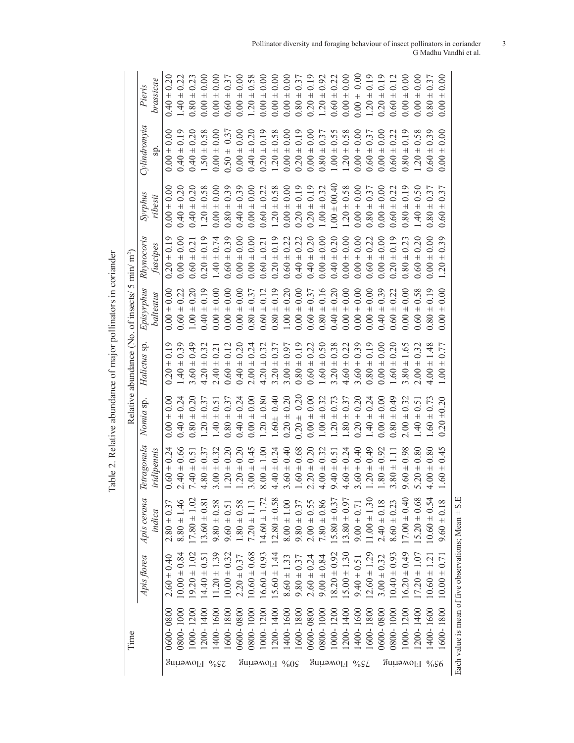| brassicae<br>$0.00 \pm 0$<br>$0.80 +$<br>$\overline{+}$<br>$0.20 \pm$<br>$0.60 \pm$<br>$0.00 \pm$<br>$0.00 \pm$<br>$\overline{+}$<br>$0.00 \pm$<br>$\overline{+}$<br>1.20<br>0.00<br>0.00<br>0.20<br>0.00<br>0.19<br>$\pm$ 0.58<br>0.00<br>$0.20 \pm 0.19$<br>$\pm$ 0.58<br>0.00<br>0.19<br>0.58<br>0.39<br>$0.00 \pm 0.00$<br>$0.40 \pm 0.19$<br>0.58<br>0.00<br>0.20<br>$0.00 \pm 0.00$<br>$0.80 \pm 0.37$<br>$\pm 0.55$<br>0.00<br>0.22<br>0.00<br>0.37<br>0.37<br>$0.00 \pm$<br>$0.00 \pm 0$<br>$0.40 \pm 0$<br>$0.00 \pm 0$<br>sp.<br>$0.00 \pm 0$<br>$0.60 \pm 0$<br>$1.50 \pm$<br>$0.40 \pm$<br>$0.20 \pm$<br>$\overline{+}$<br>$\overline{+}$<br>$0.60 \pm 0.00$<br>$0.00 \pm$<br>$1.20 \pm$<br>$\overline{+}$<br>$0.50 \pm$<br>1.20<br>1.00<br>1.20<br>0.80:<br>0.60<br>0.00<br>$.00 \pm 00.40$<br>$0.40 \pm 0.20$<br>0.20<br>$1.20 \pm 0.58$<br>$0.00 \pm 0.00$<br>$0.20 \pm 0.19$<br>$0.20 \pm 0.19$<br>$1.00 \pm 0.32$<br>$1.20 \pm 0.58$<br>$0.00 \pm 0.00$<br>0.50<br>0.58<br>$0.80 \pm 0.39$<br>$0.40 \pm 0.39$<br>$0.00 \pm 0.00$<br>$0.80 \pm 0.37$<br>$0.00 \pm 0.00$<br>$0.60 \pm 0.22$<br>0.19<br>0.37<br>0.37<br>$0.00 \pm 0.00$<br>$0.00 = 0.00$<br>$0.60 \pm 0.22$<br>ribesii<br>$0.40 \pm 0$<br>$1.20 \pm 0$<br>$0.80 +$<br>$0.80 +$<br>$1.40 \pm$<br>$\overline{+}$<br>0.60<br>$0.00 \pm 0.00$<br>$0.40 \pm 0.20$<br>$0.00 \pm 0.00$<br>$0.40 \pm 0.20$<br>$0.00 \pm 0.00$<br>$0.20 \pm 0.19$<br>0.20<br>$0.00 \pm 0.00$<br>$0.20 \pm 0.19$<br>$0.20 \pm 0.19$<br>0.39<br>$0.00 \pm 0.00$<br>$0.00 \pm 0.00$<br>$0.20 \pm 0.19$<br>$0.60 \pm 0.22$<br>$0.40 \pm 0.22$<br>$0.00 \pm 0.00$<br>$0.60 \pm 0.22$<br>0.00<br>0.23<br>0.39<br>$1.40 \pm 0.74$<br>0.21<br>$0.60 \pm 0.2$<br>fuscipes<br>$0.60 \pm 0$<br>$0.60 \pm$<br>$0.00 \pm$<br>$\overline{+}$<br>$0.60 \pm$<br>$\overline{+}$<br>0.80:<br>$\overline{20}$<br>$1.00 \pm 0.20$<br>$0.00 \pm 0.00$<br>$0.80 \pm 0.16$<br>$0.00 \pm 0.00$<br>$.00 \pm 0.20$<br>$0.00 + 0.00$<br>$0.80 \pm 0.19$<br>$0.60 \pm 0.37$<br>$0.40 \pm 0.20$<br>0.00<br>$0.00 \pm 0.00$<br>$+0.000 +$<br>$0.40 \pm 0.39$<br>$0.60 \pm 0.22$<br>$0.60 \pm 0.58$<br>$0.80 \pm 0.19$<br>$0.00 + 0.00$<br>$0.60 \pm 0.22$<br>$0.40 \pm 0.19$<br>$0.00 \pm 0.00$<br>0.00<br>$0.80 \pm 0.37$<br>$0.60 \pm 0.12$<br>0.00<br>balteatus<br>$0.00 \pm 0.00$<br>$0.00 \pm 0$<br>$\overline{+}$<br>$0.00 -$<br>0.00<br>$.40 \pm 0.39$<br>$0.60 \pm 0.22$<br>$1.60 \pm 0.50$<br>$3.20 \pm 0.38$<br>$4.60 \pm 0.22$<br>$.60 \pm 0.39$<br>$0.80 \pm 0.19$<br>1.65<br>$0.20 \pm 0.19$<br>0.49<br>$0.60 \pm 0.12$<br>$.40 \pm 0.20$<br>$2.00 \pm 0.24$<br>$4.20 \pm 0.32$<br>$3.20 \pm 0.37$<br>$3.00 \pm 0.97$<br>$0.80 \pm 0.19$<br>$0.00 \pm 0.00$<br>$1.60 \pm 0.20$<br>$.00 \pm 0.32$<br>$.00 \pm 1.48$<br>$.40 \pm 0.21$<br>$60 \pm 0.$<br>$4.20 +$<br>$+08.$<br>$+00.$<br>$0.20 \pm 0.20$<br>$0.00 \pm 0.00$<br>$1.20 \pm 0.80$<br>0.40<br>$0.20 \pm 0.20$<br>$0.00 \pm 0.00$<br>$1.00 \pm 0.32$<br>$0.20 \pm 0.20$<br>$\pm 0.24$<br>$0.00 \pm 0.00$<br>$0.80 \pm 0.49$<br>$\pm 0.00$<br>$0.40 \pm 0.24$<br>$+0.20$<br>$0.80 \pm 0.37$<br>$0.40 \pm 0.24$<br>$.20 \pm 0.73$<br>$+0.32$<br>$.60 \pm 0.73$<br>$.20 \pm 0.37$<br>$.80 \pm 0.37$<br>$0.20 \pm 0.20$<br>$.40 \pm 0.51$<br>$.40 \pm 0.51$<br>$1.60 \pm$<br>0.80:<br>1.40<br>2.00.5<br>0.00<br>$2.40 \pm 0.66$<br>0.45<br>$1.20 \pm 0.20$<br>$3.00 \pm 0.45$<br>$4.40 \pm 0.24$<br>$3.60 \pm 0.40$<br>$1.60 \pm 0.68$<br>$1.20 \pm 0.49$<br>0.98<br>$5.20 \pm 0.80$<br>$4.00 \pm 0.80$<br>$0.60 \pm 0.24$<br>$1.20 \pm 0.20$<br>$8.00 \pm 1.00$<br>$2.20 \pm 0.20$<br>$4.00 \pm 0.32$<br>$4.60 \pm 0.24$<br>$3.60 \pm 0.40$<br>$1.80 \pm 0.92$<br>$4.80 \pm 0.37$<br>$3.00 \pm 0.32$<br>iridipennis<br>$9.40 \pm 0.51$<br>$3.80 \pm 1.11$<br>$.40 \pm 0.5$<br>$9.60 \pm$<br>$\overline{+}$<br>1.60<br>$\overline{r}$<br>$11.00 \pm 1.30$<br>$17.00 \pm 0.40$<br>$5.20 \pm 0.68$<br>$10.60 \pm 0.54$<br>$12.80 \pm 0.58$<br>$13.80 \pm 0.97$<br>$17.80 \pm 1.02$<br>$14.60 \pm 1.72$<br>$15.80 \pm 0.37$<br>$8.80 \pm 1.46$<br>$7.80 \pm 0.86$<br>$2.40 \pm 0.18$<br>$9.60 \pm 0.18$<br>$2.00 \pm 0.55$<br>$8.60 \pm 0.23$<br>$13.60 \pm 0.81$<br>$9.80 \pm 0.58$<br>$1.80 \pm 0.58$<br>$8.00 \pm 1.00$<br>$2.80 \pm 0.37$<br>$9.80 \pm 0.37$<br>$9.00 \pm 0.71$<br>$7.20 \pm 1.11$<br>$9.60 \pm 0.51$<br>indica<br>$10.60 \pm 0.68$<br>$12.60 \pm 1.29$<br>$10.00 \pm 0.84$<br>$1.20 \pm 1.39$<br>$16.60 \pm 0.93$<br>$15.60 \pm 1.44$<br>$15.00 \pm 1.30$<br>$0.40 \pm 0.93$<br>$16.20 \pm 0.49$<br>$18.20 \pm 0.92$<br>$(9.20 \pm 1.02)$<br>$2.60 \pm 0.40$<br>$8.60 \pm 1.33$<br>$3.00 \pm 0.32$<br>$(0.60 \pm 1.2)$<br>$10.00 \pm 0.71$<br>$2.20 \pm 0.37$<br>$9.00 \pm 0.84$<br>$9.80 \pm 0.37$<br>$2.60 \pm 0.24$<br>$9.40 \pm 0.51$<br>$14.40 \pm 0.5$<br>$10.00 \pm 0.3$<br>$(7.20 \pm 1.0)$ |               | Apis florea | Apis cerana | Tetragonula | Nomia sp. | Relative abundance (No. of insects/ 5 min/ $m2$ )<br>Halictus sp. | Episyrphus | Rhynocoris | Syrphus | Cylindromyia | Pieris          |
|----------------------------------------------------------------------------------------------------------------------------------------------------------------------------------------------------------------------------------------------------------------------------------------------------------------------------------------------------------------------------------------------------------------------------------------------------------------------------------------------------------------------------------------------------------------------------------------------------------------------------------------------------------------------------------------------------------------------------------------------------------------------------------------------------------------------------------------------------------------------------------------------------------------------------------------------------------------------------------------------------------------------------------------------------------------------------------------------------------------------------------------------------------------------------------------------------------------------------------------------------------------------------------------------------------------------------------------------------------------------------------------------------------------------------------------------------------------------------------------------------------------------------------------------------------------------------------------------------------------------------------------------------------------------------------------------------------------------------------------------------------------------------------------------------------------------------------------------------------------------------------------------------------------------------------------------------------------------------------------------------------------------------------------------------------------------------------------------------------------------------------------------------------------------------------------------------------------------------------------------------------------------------------------------------------------------------------------------------------------------------------------------------------------------------------------------------------------------------------------------------------------------------------------------------------------------------------------------------------------------------------------------------------------------------------------------------------------------------------------------------------------------------------------------------------------------------------------------------------------------------------------------------------------------------------------------------------------------------------------------------------------------------------------------------------------------------------------------------------------------------------------------------------------------------------------------------------------------------------------------------------------------------------------------------------------------------------------------------------------------------------------------------------------------------------------------------------------------------------------------------------------------------------------------------------------------------------------------------------------------------------------------------------------------------------------------------------------------------------------------------------------------------------------------------------------------------------------------------------------------------------------------------------------------------------------------------------------------------------------------------------------------------------------------------------------------------------------------------------------------------------------------------------------------------------------------------------------------------------------------------------------------------------------------------------------------------------------------------------------------------------------------------------------------------------------------------------------------------------------------------------------------------------------------------------------------------------------------------------------------------------------------------------------------------------------------------------------------------------------------------------------------------------------------------------------|---------------|-------------|-------------|-------------|-----------|-------------------------------------------------------------------|------------|------------|---------|--------------|-----------------|
|                                                                                                                                                                                                                                                                                                                                                                                                                                                                                                                                                                                                                                                                                                                                                                                                                                                                                                                                                                                                                                                                                                                                                                                                                                                                                                                                                                                                                                                                                                                                                                                                                                                                                                                                                                                                                                                                                                                                                                                                                                                                                                                                                                                                                                                                                                                                                                                                                                                                                                                                                                                                                                                                                                                                                                                                                                                                                                                                                                                                                                                                                                                                                                                                                                                                                                                                                                                                                                                                                                                                                                                                                                                                                                                                                                                                                                                                                                                                                                                                                                                                                                                                                                                                                                                                                                                                                                                                                                                                                                                                                                                                                                                                                                                                                                                                                |               |             |             |             |           |                                                                   |            |            |         |              |                 |
|                                                                                                                                                                                                                                                                                                                                                                                                                                                                                                                                                                                                                                                                                                                                                                                                                                                                                                                                                                                                                                                                                                                                                                                                                                                                                                                                                                                                                                                                                                                                                                                                                                                                                                                                                                                                                                                                                                                                                                                                                                                                                                                                                                                                                                                                                                                                                                                                                                                                                                                                                                                                                                                                                                                                                                                                                                                                                                                                                                                                                                                                                                                                                                                                                                                                                                                                                                                                                                                                                                                                                                                                                                                                                                                                                                                                                                                                                                                                                                                                                                                                                                                                                                                                                                                                                                                                                                                                                                                                                                                                                                                                                                                                                                                                                                                                                | 0080-0800     |             |             |             |           |                                                                   |            |            |         |              | $0.40 \pm 0.20$ |
|                                                                                                                                                                                                                                                                                                                                                                                                                                                                                                                                                                                                                                                                                                                                                                                                                                                                                                                                                                                                                                                                                                                                                                                                                                                                                                                                                                                                                                                                                                                                                                                                                                                                                                                                                                                                                                                                                                                                                                                                                                                                                                                                                                                                                                                                                                                                                                                                                                                                                                                                                                                                                                                                                                                                                                                                                                                                                                                                                                                                                                                                                                                                                                                                                                                                                                                                                                                                                                                                                                                                                                                                                                                                                                                                                                                                                                                                                                                                                                                                                                                                                                                                                                                                                                                                                                                                                                                                                                                                                                                                                                                                                                                                                                                                                                                                                | 0001 -0080    |             |             |             |           |                                                                   |            |            |         |              | $.40 \pm 0.22$  |
|                                                                                                                                                                                                                                                                                                                                                                                                                                                                                                                                                                                                                                                                                                                                                                                                                                                                                                                                                                                                                                                                                                                                                                                                                                                                                                                                                                                                                                                                                                                                                                                                                                                                                                                                                                                                                                                                                                                                                                                                                                                                                                                                                                                                                                                                                                                                                                                                                                                                                                                                                                                                                                                                                                                                                                                                                                                                                                                                                                                                                                                                                                                                                                                                                                                                                                                                                                                                                                                                                                                                                                                                                                                                                                                                                                                                                                                                                                                                                                                                                                                                                                                                                                                                                                                                                                                                                                                                                                                                                                                                                                                                                                                                                                                                                                                                                | 1000-1200     |             |             |             |           |                                                                   |            |            |         |              |                 |
|                                                                                                                                                                                                                                                                                                                                                                                                                                                                                                                                                                                                                                                                                                                                                                                                                                                                                                                                                                                                                                                                                                                                                                                                                                                                                                                                                                                                                                                                                                                                                                                                                                                                                                                                                                                                                                                                                                                                                                                                                                                                                                                                                                                                                                                                                                                                                                                                                                                                                                                                                                                                                                                                                                                                                                                                                                                                                                                                                                                                                                                                                                                                                                                                                                                                                                                                                                                                                                                                                                                                                                                                                                                                                                                                                                                                                                                                                                                                                                                                                                                                                                                                                                                                                                                                                                                                                                                                                                                                                                                                                                                                                                                                                                                                                                                                                | $.200 - 1400$ |             |             |             |           |                                                                   |            |            |         |              | 0.00            |
|                                                                                                                                                                                                                                                                                                                                                                                                                                                                                                                                                                                                                                                                                                                                                                                                                                                                                                                                                                                                                                                                                                                                                                                                                                                                                                                                                                                                                                                                                                                                                                                                                                                                                                                                                                                                                                                                                                                                                                                                                                                                                                                                                                                                                                                                                                                                                                                                                                                                                                                                                                                                                                                                                                                                                                                                                                                                                                                                                                                                                                                                                                                                                                                                                                                                                                                                                                                                                                                                                                                                                                                                                                                                                                                                                                                                                                                                                                                                                                                                                                                                                                                                                                                                                                                                                                                                                                                                                                                                                                                                                                                                                                                                                                                                                                                                                | 400-1600      |             |             |             |           |                                                                   |            |            |         |              | $0.00 = 0.00$   |
|                                                                                                                                                                                                                                                                                                                                                                                                                                                                                                                                                                                                                                                                                                                                                                                                                                                                                                                                                                                                                                                                                                                                                                                                                                                                                                                                                                                                                                                                                                                                                                                                                                                                                                                                                                                                                                                                                                                                                                                                                                                                                                                                                                                                                                                                                                                                                                                                                                                                                                                                                                                                                                                                                                                                                                                                                                                                                                                                                                                                                                                                                                                                                                                                                                                                                                                                                                                                                                                                                                                                                                                                                                                                                                                                                                                                                                                                                                                                                                                                                                                                                                                                                                                                                                                                                                                                                                                                                                                                                                                                                                                                                                                                                                                                                                                                                | 600-1800      |             |             |             |           |                                                                   |            |            |         |              | 0.37            |
|                                                                                                                                                                                                                                                                                                                                                                                                                                                                                                                                                                                                                                                                                                                                                                                                                                                                                                                                                                                                                                                                                                                                                                                                                                                                                                                                                                                                                                                                                                                                                                                                                                                                                                                                                                                                                                                                                                                                                                                                                                                                                                                                                                                                                                                                                                                                                                                                                                                                                                                                                                                                                                                                                                                                                                                                                                                                                                                                                                                                                                                                                                                                                                                                                                                                                                                                                                                                                                                                                                                                                                                                                                                                                                                                                                                                                                                                                                                                                                                                                                                                                                                                                                                                                                                                                                                                                                                                                                                                                                                                                                                                                                                                                                                                                                                                                | 0080-0800     |             |             |             |           |                                                                   |            |            |         |              | $0.00 \pm 0.00$ |
|                                                                                                                                                                                                                                                                                                                                                                                                                                                                                                                                                                                                                                                                                                                                                                                                                                                                                                                                                                                                                                                                                                                                                                                                                                                                                                                                                                                                                                                                                                                                                                                                                                                                                                                                                                                                                                                                                                                                                                                                                                                                                                                                                                                                                                                                                                                                                                                                                                                                                                                                                                                                                                                                                                                                                                                                                                                                                                                                                                                                                                                                                                                                                                                                                                                                                                                                                                                                                                                                                                                                                                                                                                                                                                                                                                                                                                                                                                                                                                                                                                                                                                                                                                                                                                                                                                                                                                                                                                                                                                                                                                                                                                                                                                                                                                                                                | 0001 -0080    |             |             |             |           |                                                                   |            |            |         |              | 0.58            |
|                                                                                                                                                                                                                                                                                                                                                                                                                                                                                                                                                                                                                                                                                                                                                                                                                                                                                                                                                                                                                                                                                                                                                                                                                                                                                                                                                                                                                                                                                                                                                                                                                                                                                                                                                                                                                                                                                                                                                                                                                                                                                                                                                                                                                                                                                                                                                                                                                                                                                                                                                                                                                                                                                                                                                                                                                                                                                                                                                                                                                                                                                                                                                                                                                                                                                                                                                                                                                                                                                                                                                                                                                                                                                                                                                                                                                                                                                                                                                                                                                                                                                                                                                                                                                                                                                                                                                                                                                                                                                                                                                                                                                                                                                                                                                                                                                | $.000 - 1200$ |             |             |             |           |                                                                   |            |            |         |              | $0.00 \pm 0.00$ |
|                                                                                                                                                                                                                                                                                                                                                                                                                                                                                                                                                                                                                                                                                                                                                                                                                                                                                                                                                                                                                                                                                                                                                                                                                                                                                                                                                                                                                                                                                                                                                                                                                                                                                                                                                                                                                                                                                                                                                                                                                                                                                                                                                                                                                                                                                                                                                                                                                                                                                                                                                                                                                                                                                                                                                                                                                                                                                                                                                                                                                                                                                                                                                                                                                                                                                                                                                                                                                                                                                                                                                                                                                                                                                                                                                                                                                                                                                                                                                                                                                                                                                                                                                                                                                                                                                                                                                                                                                                                                                                                                                                                                                                                                                                                                                                                                                | $.200 - 1400$ |             |             |             |           |                                                                   |            |            |         |              | $0.00 \pm 0.00$ |
|                                                                                                                                                                                                                                                                                                                                                                                                                                                                                                                                                                                                                                                                                                                                                                                                                                                                                                                                                                                                                                                                                                                                                                                                                                                                                                                                                                                                                                                                                                                                                                                                                                                                                                                                                                                                                                                                                                                                                                                                                                                                                                                                                                                                                                                                                                                                                                                                                                                                                                                                                                                                                                                                                                                                                                                                                                                                                                                                                                                                                                                                                                                                                                                                                                                                                                                                                                                                                                                                                                                                                                                                                                                                                                                                                                                                                                                                                                                                                                                                                                                                                                                                                                                                                                                                                                                                                                                                                                                                                                                                                                                                                                                                                                                                                                                                                | 1400-1600     |             |             |             |           |                                                                   |            |            |         |              | $0.00 \pm 0.00$ |
|                                                                                                                                                                                                                                                                                                                                                                                                                                                                                                                                                                                                                                                                                                                                                                                                                                                                                                                                                                                                                                                                                                                                                                                                                                                                                                                                                                                                                                                                                                                                                                                                                                                                                                                                                                                                                                                                                                                                                                                                                                                                                                                                                                                                                                                                                                                                                                                                                                                                                                                                                                                                                                                                                                                                                                                                                                                                                                                                                                                                                                                                                                                                                                                                                                                                                                                                                                                                                                                                                                                                                                                                                                                                                                                                                                                                                                                                                                                                                                                                                                                                                                                                                                                                                                                                                                                                                                                                                                                                                                                                                                                                                                                                                                                                                                                                                | 1600-1800     |             |             |             |           |                                                                   |            |            |         |              | $0.80 \pm 0.37$ |
|                                                                                                                                                                                                                                                                                                                                                                                                                                                                                                                                                                                                                                                                                                                                                                                                                                                                                                                                                                                                                                                                                                                                                                                                                                                                                                                                                                                                                                                                                                                                                                                                                                                                                                                                                                                                                                                                                                                                                                                                                                                                                                                                                                                                                                                                                                                                                                                                                                                                                                                                                                                                                                                                                                                                                                                                                                                                                                                                                                                                                                                                                                                                                                                                                                                                                                                                                                                                                                                                                                                                                                                                                                                                                                                                                                                                                                                                                                                                                                                                                                                                                                                                                                                                                                                                                                                                                                                                                                                                                                                                                                                                                                                                                                                                                                                                                | 0080 -0090    |             |             |             |           |                                                                   |            |            |         |              | $0.20 \pm 0.19$ |
|                                                                                                                                                                                                                                                                                                                                                                                                                                                                                                                                                                                                                                                                                                                                                                                                                                                                                                                                                                                                                                                                                                                                                                                                                                                                                                                                                                                                                                                                                                                                                                                                                                                                                                                                                                                                                                                                                                                                                                                                                                                                                                                                                                                                                                                                                                                                                                                                                                                                                                                                                                                                                                                                                                                                                                                                                                                                                                                                                                                                                                                                                                                                                                                                                                                                                                                                                                                                                                                                                                                                                                                                                                                                                                                                                                                                                                                                                                                                                                                                                                                                                                                                                                                                                                                                                                                                                                                                                                                                                                                                                                                                                                                                                                                                                                                                                | 0001 -0080    |             |             |             |           |                                                                   |            |            |         |              | $1.20 \pm 0.92$ |
|                                                                                                                                                                                                                                                                                                                                                                                                                                                                                                                                                                                                                                                                                                                                                                                                                                                                                                                                                                                                                                                                                                                                                                                                                                                                                                                                                                                                                                                                                                                                                                                                                                                                                                                                                                                                                                                                                                                                                                                                                                                                                                                                                                                                                                                                                                                                                                                                                                                                                                                                                                                                                                                                                                                                                                                                                                                                                                                                                                                                                                                                                                                                                                                                                                                                                                                                                                                                                                                                                                                                                                                                                                                                                                                                                                                                                                                                                                                                                                                                                                                                                                                                                                                                                                                                                                                                                                                                                                                                                                                                                                                                                                                                                                                                                                                                                | 1000-1200     |             |             |             |           |                                                                   |            |            |         |              | $0.60 \pm 0.22$ |
|                                                                                                                                                                                                                                                                                                                                                                                                                                                                                                                                                                                                                                                                                                                                                                                                                                                                                                                                                                                                                                                                                                                                                                                                                                                                                                                                                                                                                                                                                                                                                                                                                                                                                                                                                                                                                                                                                                                                                                                                                                                                                                                                                                                                                                                                                                                                                                                                                                                                                                                                                                                                                                                                                                                                                                                                                                                                                                                                                                                                                                                                                                                                                                                                                                                                                                                                                                                                                                                                                                                                                                                                                                                                                                                                                                                                                                                                                                                                                                                                                                                                                                                                                                                                                                                                                                                                                                                                                                                                                                                                                                                                                                                                                                                                                                                                                | $.200 - 1400$ |             |             |             |           |                                                                   |            |            |         |              | 0.00            |
|                                                                                                                                                                                                                                                                                                                                                                                                                                                                                                                                                                                                                                                                                                                                                                                                                                                                                                                                                                                                                                                                                                                                                                                                                                                                                                                                                                                                                                                                                                                                                                                                                                                                                                                                                                                                                                                                                                                                                                                                                                                                                                                                                                                                                                                                                                                                                                                                                                                                                                                                                                                                                                                                                                                                                                                                                                                                                                                                                                                                                                                                                                                                                                                                                                                                                                                                                                                                                                                                                                                                                                                                                                                                                                                                                                                                                                                                                                                                                                                                                                                                                                                                                                                                                                                                                                                                                                                                                                                                                                                                                                                                                                                                                                                                                                                                                | 400-1600      |             |             |             |           |                                                                   |            |            |         |              | 0.00            |
|                                                                                                                                                                                                                                                                                                                                                                                                                                                                                                                                                                                                                                                                                                                                                                                                                                                                                                                                                                                                                                                                                                                                                                                                                                                                                                                                                                                                                                                                                                                                                                                                                                                                                                                                                                                                                                                                                                                                                                                                                                                                                                                                                                                                                                                                                                                                                                                                                                                                                                                                                                                                                                                                                                                                                                                                                                                                                                                                                                                                                                                                                                                                                                                                                                                                                                                                                                                                                                                                                                                                                                                                                                                                                                                                                                                                                                                                                                                                                                                                                                                                                                                                                                                                                                                                                                                                                                                                                                                                                                                                                                                                                                                                                                                                                                                                                | 600-1800      |             |             |             |           |                                                                   |            |            |         |              | $1.20 \pm 0.19$ |
|                                                                                                                                                                                                                                                                                                                                                                                                                                                                                                                                                                                                                                                                                                                                                                                                                                                                                                                                                                                                                                                                                                                                                                                                                                                                                                                                                                                                                                                                                                                                                                                                                                                                                                                                                                                                                                                                                                                                                                                                                                                                                                                                                                                                                                                                                                                                                                                                                                                                                                                                                                                                                                                                                                                                                                                                                                                                                                                                                                                                                                                                                                                                                                                                                                                                                                                                                                                                                                                                                                                                                                                                                                                                                                                                                                                                                                                                                                                                                                                                                                                                                                                                                                                                                                                                                                                                                                                                                                                                                                                                                                                                                                                                                                                                                                                                                | 0600-0800     |             |             |             |           |                                                                   |            |            |         |              | 0.19            |
|                                                                                                                                                                                                                                                                                                                                                                                                                                                                                                                                                                                                                                                                                                                                                                                                                                                                                                                                                                                                                                                                                                                                                                                                                                                                                                                                                                                                                                                                                                                                                                                                                                                                                                                                                                                                                                                                                                                                                                                                                                                                                                                                                                                                                                                                                                                                                                                                                                                                                                                                                                                                                                                                                                                                                                                                                                                                                                                                                                                                                                                                                                                                                                                                                                                                                                                                                                                                                                                                                                                                                                                                                                                                                                                                                                                                                                                                                                                                                                                                                                                                                                                                                                                                                                                                                                                                                                                                                                                                                                                                                                                                                                                                                                                                                                                                                | 0001 -0080    |             |             |             |           |                                                                   |            |            |         |              | $0.60 \pm 0.12$ |
|                                                                                                                                                                                                                                                                                                                                                                                                                                                                                                                                                                                                                                                                                                                                                                                                                                                                                                                                                                                                                                                                                                                                                                                                                                                                                                                                                                                                                                                                                                                                                                                                                                                                                                                                                                                                                                                                                                                                                                                                                                                                                                                                                                                                                                                                                                                                                                                                                                                                                                                                                                                                                                                                                                                                                                                                                                                                                                                                                                                                                                                                                                                                                                                                                                                                                                                                                                                                                                                                                                                                                                                                                                                                                                                                                                                                                                                                                                                                                                                                                                                                                                                                                                                                                                                                                                                                                                                                                                                                                                                                                                                                                                                                                                                                                                                                                | 1000-1200     |             |             |             |           |                                                                   |            |            |         |              | 0.00            |
|                                                                                                                                                                                                                                                                                                                                                                                                                                                                                                                                                                                                                                                                                                                                                                                                                                                                                                                                                                                                                                                                                                                                                                                                                                                                                                                                                                                                                                                                                                                                                                                                                                                                                                                                                                                                                                                                                                                                                                                                                                                                                                                                                                                                                                                                                                                                                                                                                                                                                                                                                                                                                                                                                                                                                                                                                                                                                                                                                                                                                                                                                                                                                                                                                                                                                                                                                                                                                                                                                                                                                                                                                                                                                                                                                                                                                                                                                                                                                                                                                                                                                                                                                                                                                                                                                                                                                                                                                                                                                                                                                                                                                                                                                                                                                                                                                | 200-1400      |             |             |             |           |                                                                   |            |            |         |              | 0.00            |
|                                                                                                                                                                                                                                                                                                                                                                                                                                                                                                                                                                                                                                                                                                                                                                                                                                                                                                                                                                                                                                                                                                                                                                                                                                                                                                                                                                                                                                                                                                                                                                                                                                                                                                                                                                                                                                                                                                                                                                                                                                                                                                                                                                                                                                                                                                                                                                                                                                                                                                                                                                                                                                                                                                                                                                                                                                                                                                                                                                                                                                                                                                                                                                                                                                                                                                                                                                                                                                                                                                                                                                                                                                                                                                                                                                                                                                                                                                                                                                                                                                                                                                                                                                                                                                                                                                                                                                                                                                                                                                                                                                                                                                                                                                                                                                                                                | 400-1600      |             |             |             |           |                                                                   |            |            |         |              | $0.80 \pm 0.37$ |
|                                                                                                                                                                                                                                                                                                                                                                                                                                                                                                                                                                                                                                                                                                                                                                                                                                                                                                                                                                                                                                                                                                                                                                                                                                                                                                                                                                                                                                                                                                                                                                                                                                                                                                                                                                                                                                                                                                                                                                                                                                                                                                                                                                                                                                                                                                                                                                                                                                                                                                                                                                                                                                                                                                                                                                                                                                                                                                                                                                                                                                                                                                                                                                                                                                                                                                                                                                                                                                                                                                                                                                                                                                                                                                                                                                                                                                                                                                                                                                                                                                                                                                                                                                                                                                                                                                                                                                                                                                                                                                                                                                                                                                                                                                                                                                                                                | 600-1800      |             |             |             |           |                                                                   |            |            |         |              | 0.00            |

Table 2. Relative abundance of major pollinators in coriander Table 2. Relative abundance of major pollinators in coriander